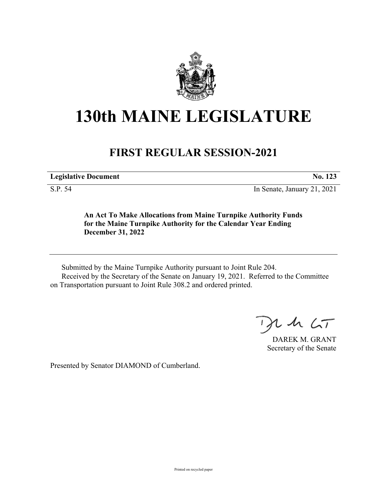

## **130th MAINE LEGISLATURE**

## **FIRST REGULAR SESSION-2021**

**Legislative Document No. 123**

S.P. 54 In Senate, January 21, 2021

**An Act To Make Allocations from Maine Turnpike Authority Funds for the Maine Turnpike Authority for the Calendar Year Ending December 31, 2022**

Submitted by the Maine Turnpike Authority pursuant to Joint Rule 204. Received by the Secretary of the Senate on January 19, 2021. Referred to the Committee on Transportation pursuant to Joint Rule 308.2 and ordered printed.

 $2.42 < T$ 

DAREK M. GRANT Secretary of the Senate

Presented by Senator DIAMOND of Cumberland.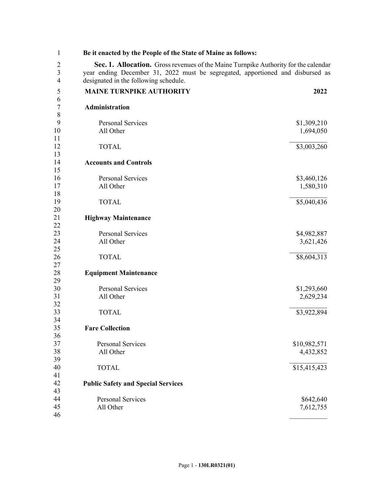| 1              | Be it enacted by the People of the State of Maine as follows:                       |                          |  |
|----------------|-------------------------------------------------------------------------------------|--------------------------|--|
| $\overline{c}$ | Sec. 1. Allocation. Gross revenues of the Maine Turnpike Authority for the calendar |                          |  |
| $\mathfrak{Z}$ | year ending December 31, 2022 must be segregated, apportioned and disbursed as      |                          |  |
| $\overline{4}$ | designated in the following schedule.                                               |                          |  |
| 5              | <b>MAINE TURNPIKE AUTHORITY</b>                                                     | 2022                     |  |
| 6              |                                                                                     |                          |  |
| $\overline{7}$ | Administration                                                                      |                          |  |
| $\,$ $\,$      |                                                                                     |                          |  |
| 9              | <b>Personal Services</b>                                                            | \$1,309,210              |  |
| 10             | All Other                                                                           | 1,694,050                |  |
| 11             |                                                                                     |                          |  |
| 12             | <b>TOTAL</b>                                                                        | \$3,003,260              |  |
| 13             |                                                                                     |                          |  |
| 14             | <b>Accounts and Controls</b>                                                        |                          |  |
| 15             |                                                                                     |                          |  |
| 16<br>17       | Personal Services<br>All Other                                                      | \$3,460,126<br>1,580,310 |  |
| 18             |                                                                                     |                          |  |
| 19             | <b>TOTAL</b>                                                                        | \$5,040,436              |  |
| 20             |                                                                                     |                          |  |
| 21             | <b>Highway Maintenance</b>                                                          |                          |  |
| 22             |                                                                                     |                          |  |
| 23             | <b>Personal Services</b>                                                            | \$4,982,887              |  |
| 24             | All Other                                                                           | 3,621,426                |  |
| 25             |                                                                                     |                          |  |
| 26             | <b>TOTAL</b>                                                                        | \$8,604,313              |  |
| 27             |                                                                                     |                          |  |
| 28             | <b>Equipment Maintenance</b>                                                        |                          |  |
| 29             |                                                                                     |                          |  |
| 30<br>31       | <b>Personal Services</b>                                                            | \$1,293,660              |  |
| 32             | All Other                                                                           | 2,629,234                |  |
| 33             | <b>TOTAL</b>                                                                        | \$3,922,894              |  |
| 34             |                                                                                     |                          |  |
| 35             | <b>Fare Collection</b>                                                              |                          |  |
| 36             |                                                                                     |                          |  |
| 37             | <b>Personal Services</b>                                                            | \$10,982,571             |  |
| 38             | All Other                                                                           | 4,432,852                |  |
| 39             |                                                                                     |                          |  |
| 40             | <b>TOTAL</b>                                                                        | \$15,415,423             |  |
| 41             |                                                                                     |                          |  |
| 42             | <b>Public Safety and Special Services</b>                                           |                          |  |
| 43             |                                                                                     |                          |  |
| 44<br>45       | <b>Personal Services</b>                                                            | \$642,640                |  |
| 46             | All Other                                                                           | 7,612,755                |  |
|                |                                                                                     |                          |  |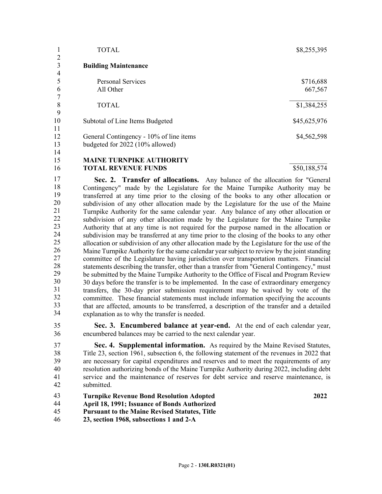|                | <b>TOTAL</b>                            | \$8,255,395  |
|----------------|-----------------------------------------|--------------|
| 2<br>3         | <b>Building Maintenance</b>             |              |
| $\overline{4}$ |                                         |              |
|                | <b>Personal Services</b>                | \$716,688    |
| 6              | All Other                               | 667,567      |
|                |                                         |              |
| 8              | <b>TOTAL</b>                            | \$1,384,255  |
| 9              |                                         |              |
| 10             | Subtotal of Line Items Budgeted         | \$45,625,976 |
| 11             |                                         |              |
| 12             | General Contingency - 10% of line items | \$4,562,598  |
| 13             | budgeted for 2022 (10% allowed)         |              |
| 14             |                                         |              |
| 15             | <b>MAINE TURNPIKE AUTHORITY</b>         |              |

**TOTAL REVENUE FUNDS** \$50,188,574 16

**Sec. 2. Transfer of allocations.** Any balance of the allocation for "General" 2 Contingency" made by the Legislature for the Maine Turnpike Authority may be 3 transferred at any time prior to the closing of the books to any other allocation or subdivision of any other allocation made by the Legislature for the use of the Maine 5 Turnpike Authority for the same calendar year. Any balance of any other allocation or subdivision of any other allocation made by the Legislature for the Maine Turnpike 7 Authority that at any time is not required for the purpose named in the allocation or subdivision may be transferred at any time prior to the closing of the books to any other allocation or subdivision of any other allocation made by the Legislature for the use of the Maine Turnpike Authority for the same calendar year subject to review by the joint standing committee of the Legislature having jurisdiction over transportation matters. Financial statements describing the transfer, other than a transfer from "General Contingency," must be submitted by the Maine Turnpike Authority to the Office of Fiscal and Program Review 14 30 days before the transfer is to be implemented. In the case of extraordinary emergency 15 transfers, the 30-day prior submission requirement may be waived by vote of the committee. These financial statements must include information specifying the accounts 17 that are affected, amounts to be transferred, a description of the transfer and a detailed explanation as to why the transfer is needed. 17 18 19 20 21 22 23 24 25 26 27 28 29 30 31 32 33 34

35 **Sec. 3. Encumbered balance at year-end.** At the end of each calendar year, 36 encumbered balances may be carried to the next calendar year.

37 **Sec. 4. Supplemental information.** As required by the Maine Revised Statutes, 38 Title 23, section 1961, subsection 6, the following statement of the revenues in 2022 that 39 are necessary for capital expenditures and reserves and to meet the requirements of any 40 resolution authorizing bonds of the Maine Turnpike Authority during 2022, including debt 41 service and the maintenance of reserves for debt service and reserve maintenance, is 42 submitted.

**Turnpike Revenue Bond Resolution Adopted April 18, 1991; Issuance of Bonds Authorized**  43 44

**2022**

- **Pursuant to the Maine Revised Statutes, Title**  45
- **23, section 1968, subsections 1 and 2-A** 46